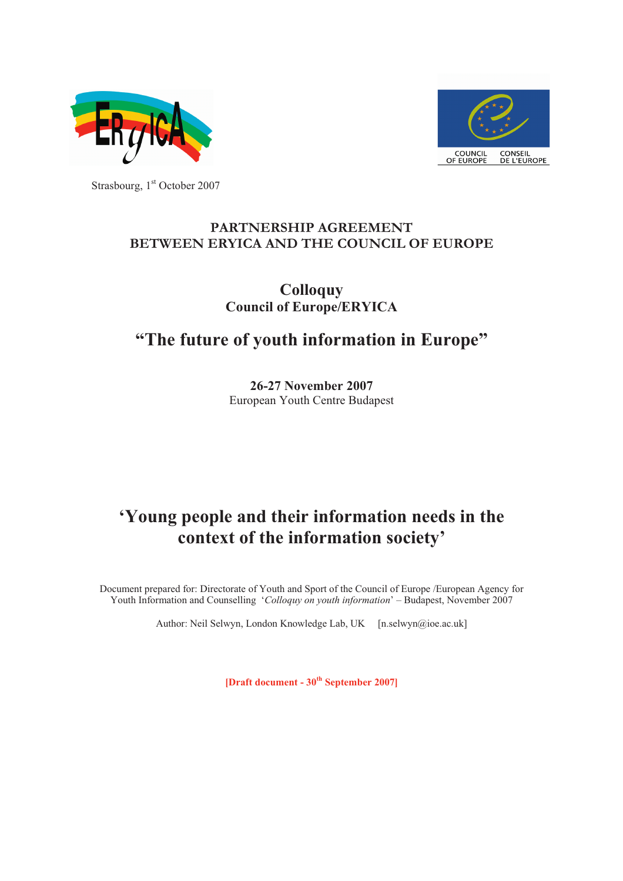



Strasbourg, 1<sup>st</sup> October 2007

# **PARTNERSHIP AGREEMENT<br>BETWEEN ERYICA AND THE COUNCIL OF EUROPE**

### **Colloquy Council of Europe/ERYICA**

## **"The future of youth information in Europe"**

**26-27 November 2007** European Youth Centre Budapest

## **'Young people and their information needs in the context of the information society'**

Document prepared for: Directorate of Youth and Sport of the Council of Europe /European Agency for Youth Information and Counselling '*Colloquy on youth information*' – Budapest, November 2007

Author: Neil Selwyn, London Knowledge Lab, UK [n.selwyn@ioe.ac.uk]

**[Draft document - 30 th September 2007]**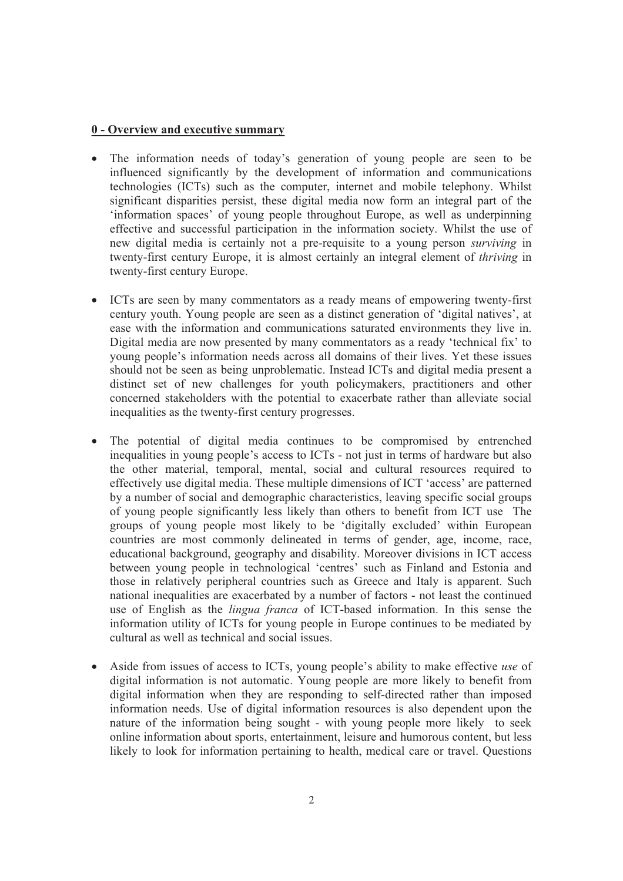#### **0 - Overview and executive summary**

- The information needs of today's generation of young people are seen to be influenced significantly by the development of information and communications technologies (ICTs) such as the computer, internet and mobile telephony. Whilst significant disparities persist, these digital media now form an integral part of the 'information spaces' of young people throughout Europe, as well as underpinning effective and successful participation in the information society. Whilst the use of new digital media is certainly not a pre-requisite to a young person *surviving* in twenty-first century Europe, it is almost certainly an integral element of *thriving* in twenty-first century Europe.
- ICTs are seen by many commentators as a ready means of empowering twenty-first century youth. Young people are seen as a distinct generation of 'digital natives', at ease with the information and communications saturated young people's information needs across all domains of their lives. Yet these issues should not be seen as being unproblematic. Instead ICTs and digital media present a distinct set of new challenges for youth policymakers, practitioners and other concerned stakeholders with the potential to exacerbate rather than alleviate social inequalities as the twenty-first century progresses.
- The potential of digital media continues to be compromised by entrenched inequalities in young people's access to ICTs not just in terms of hardware but also the other material, temporal, mental, social and cultural reso by a number of social and demographic characteristics, leaving specific social groups of young people significantly less likely than others to benefit from ICT use The groups of young people most likely to be 'digitally excluded' within European countries are most commonly delineated in terms of gender, age, income, race, educational background, geography and disability. Moreover divisions in ICT access between young people in technological 'centres' such as Finland and Estonia and those in relatively peripheral countries such as Greece and Italy is apparent. Such national inequalities are exacerbated by a number of factors - not least the continued use of English as the *lingua franca* of ICT-based information utility of ICTs for young people in Europe continues to be mediated by cultural as well as technical and social issues.
- Aside from issues of access to ICTs, young people's ability to make effective use of digital information is not automatic. Young people are more likely to benefit from digital information when they are responding to self likely to look for information pertaining to health, medical care or travel. Questions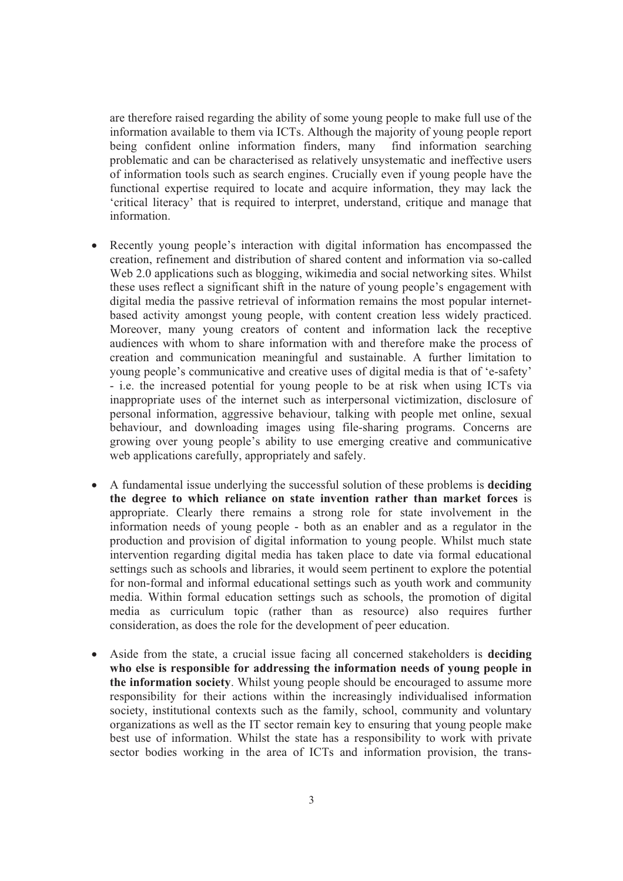are therefore raised regarding the ability of some young people to make full use of the information available to them via ICTs. Although the majority of young people report being confident online information finders, many find information searching problematic and can be characterised as relatively unsystematic and ineffective users<br>of information tools such as search engines. Crucially even if young people have the<br>functional expertise required to locate and acquire 'critical literacy' that is required to interpret, understand, critique and manage that information.

- Recently young people's interaction with digital information has encompassed the creation, refinement and distribution of shared content and information via so-called Web 2.0 applications such as blogging, wikimedia and based activity amongst young people, with content creation less widely practiced. Moreover, many young creators of content and information lack the receptive audiences with whom to share information with and therefore make the process of creation and communication meaningful and sustainable. A further limitation to young people's communicative and creative uses of digital media is that of 'e-safety' - i.e. the increased potential for young people to be at risk when using ICTs via inappropriate uses of the internet such as interpersonal victimization, disclosure of personal information, aggressive behaviour, talking with people met online, sexual behaviour, and downloading images using file-sharing programs. Concerns are growing over young people's ability to use emerging creative and communicative web applications carefully, appropriately and safely.
- A fundamental issue underlying the successful solution of these problems is **deciding**<br>the degree to which reliance on state invention rather than market forces is<br>appropriate. Clearly there remains a strong role for sta information needs of young people - both as an enabler and as a regulator in the production and provision of digital information to young people. Whilst much state intervention regarding digital media has taken place to date via formal educational settings such as schools and libraries, it would seem pertinent to explore the potential for non-formal and informal educational settings such as youth work and community media. Within formal education settings such as schools, the promotion of digital media as curriculum topic (rather than as resource) also requires further consideration, as does the role for the development of peer education.
- Aside from the state, a crucial issue facing all concerned stakeholders is **deciding who else is responsible for addressing the information needs of young people in** the information society. Whilst young people should be encouraged to assume more responsibility for their actions within the increasingly individualised information society, institutional contexts such as the family, schoo organizations as well as the IT sector remain key to ensuring that young people make best use of information. Whilst the state has a responsibility to work with private sector bodies working in the area of ICTs and information provision, the trans-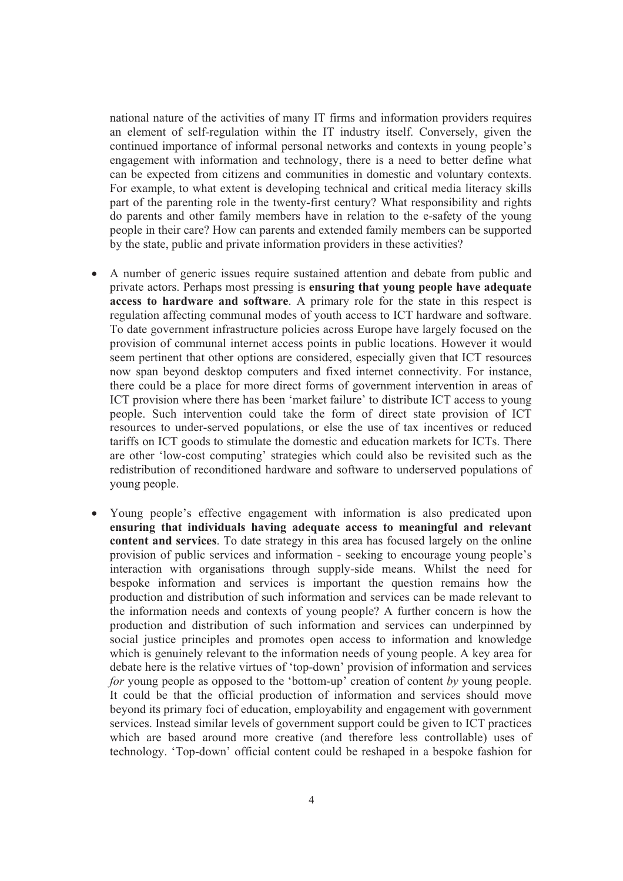national nature of the activities of many IT firms and information providers requires an element of self-regulation within the IT industry itself. Conversely, given the continued importance of informal personal networks and contexts in young people's engagement with information and technology, there is a ne can be expected from citizens and communities in domestic and voluntary contexts.<br>For example, to what extent is developing technical and critical media literacy skills<br>part of the parenting role in the twenty-first centur people in their care? How can parents and extended family members can be supported by the state, public and private information providers in these activities?

- A number of generic issues require sustained attention and debate from public and private actors. Perhaps most pressing is **ensuring that young people have adequate access to hardware and software**. A primary role for the state in this respect is regulation affecting communal modes of youth access to ICT hardware and software. To date government infrastructure policies across Europe have largely focused on the provision of communal internet access points in public locations. However it would seem pertinent that other options are considered, espe now span beyond desktop computers and fixed internet connectivity. For instance, there could be a place for more direct forms of government intervention in areas of ICT provision where there has been 'market failure' to distribute ICT access to young<br>people. Such intervention could take the form of direct state provision of ICT<br>resources to under-served populations, or else the use of tariffs on ICT goods to stimulate the domestic and education markets for ICTs. There are other 'low-cost computing' strategies which could also be revisited such as the redistribution of reconditioned hardware and software
- Young people's effective engagement with information is also predicated upon **ensuring that individuals having adequate access to meaningful and relevant** content and services. To date strategy in this area has focused largely on the online<br>provision of public services and information - seeking to encourage young people's<br>interaction with organisations through supply-side me the information needs and contexts of young people? A further concern is how the production and distribution of such information and services can underpinned by social justice principles and promotes open access to information and knowledge which is genuinely relevant to the information needs of young people. A key area for debate here is the relative virtues of 'top-down' provision of information and services *for* young people as opposed to the 'bottom-up' creation of content *by* young people. It could be that the official production of information and services should move beyond its primary foci of education, employability and engagement with government services. Instead similar levels of government support could be given to ICT practices which are based around more creative (and therefore less controllable) uses of technology. 'Top-down' official content could be reshaped in a bespoke fashion for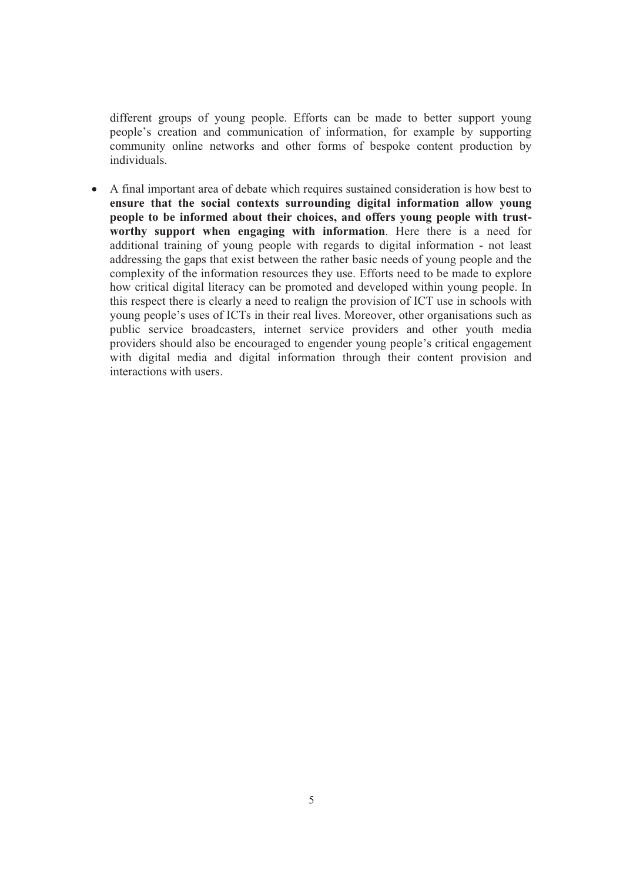different groups of young people. Efforts can be made to better support young people's creation and communication of information, for example by supporting community online networks and other forms of bespoke content production by individuals.

• A final important area of debate which requires sustained consideration is how best to **ensure that the social contexts surrounding digital information allow young people to be informed about their choices, and offers young people with trust-worthy support when engaging with information**. Here there is a need for additional training of young people with regards to digital information - not least<br>addressing the gaps that exist between the rather basic needs of young people and the<br>complexity of the information resources they use. Ef this respect there is clearly a need to realign the provision of ICT use in schools with<br>young people's uses of ICTs in their real lives. Moreover, other organisations such as<br>public service broadcasters, internet service providers should also be encouraged to engender young people's critical engagement with digital media and digital information through their content provision and interactions with users.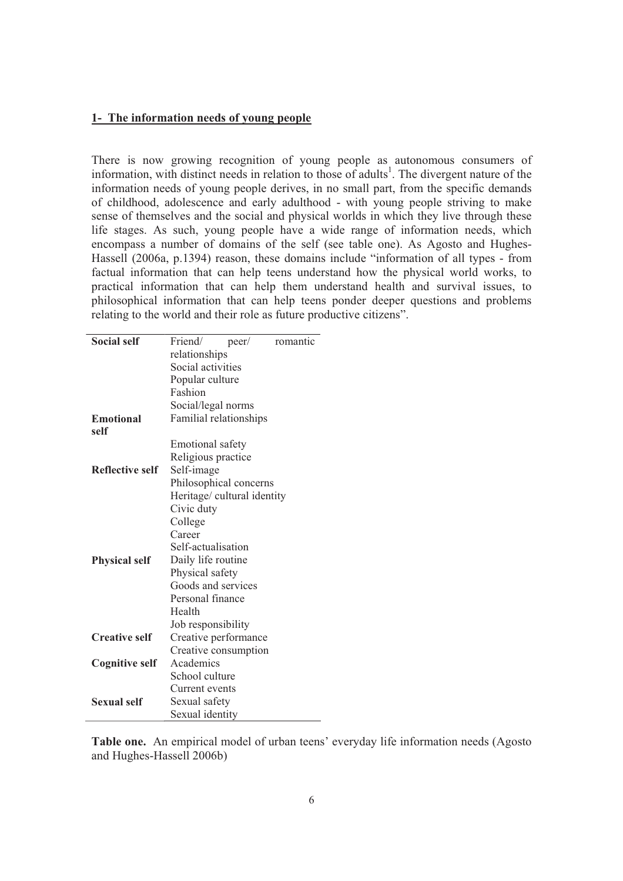#### **1- The information needs of young people**

There is now growing recognition of young people as autonomous consumers of information, with distinct needs in relation to those of adults<sup>1</sup>. The divergent nature of the information needs of young people derives, in no small part, from the specific demands of childhood, adolescence and early adulthood - with young people striving to make<br>sense of themselves and the social and physical worlds in which they live through these<br>life stages. As such, young people have a wide rang factual information that can help teens understand how the physical world works, to practical information that can help them understand health and survival issues, to philosophical information that can help teens ponder deeper questions and problems relating to the world and their role as future productive citizens".

| <b>Social self</b>     | Friend/<br>romantic<br>peer/ |
|------------------------|------------------------------|
|                        | relationships                |
|                        | Social activities            |
|                        | Popular culture              |
|                        | Fashion                      |
|                        | Social/legal norms           |
| <b>Emotional</b>       | Familial relationships       |
| self                   |                              |
|                        | <b>Emotional safety</b>      |
|                        | Religious practice           |
| <b>Reflective self</b> | Self-image                   |
|                        | Philosophical concerns       |
|                        | Heritage/ cultural identity  |
|                        | Civic duty                   |
|                        | College                      |
|                        | Career                       |
|                        | Self-actualisation           |
| <b>Physical self</b>   | Daily life routine           |
|                        | Physical safety              |
|                        | Goods and services           |
|                        | Personal finance             |
|                        | Health                       |
|                        | Job responsibility           |
| <b>Creative self</b>   | Creative performance         |
|                        | Creative consumption         |
| <b>Cognitive self</b>  | Academics                    |
|                        | School culture               |
|                        | Current events               |
| <b>Sexual self</b>     | Sexual safety                |
|                        | Sexual identity              |

**Table one.** An empirical model of urban teens' everyday life information needs (Agosto and Hughes-Hassell 2006b)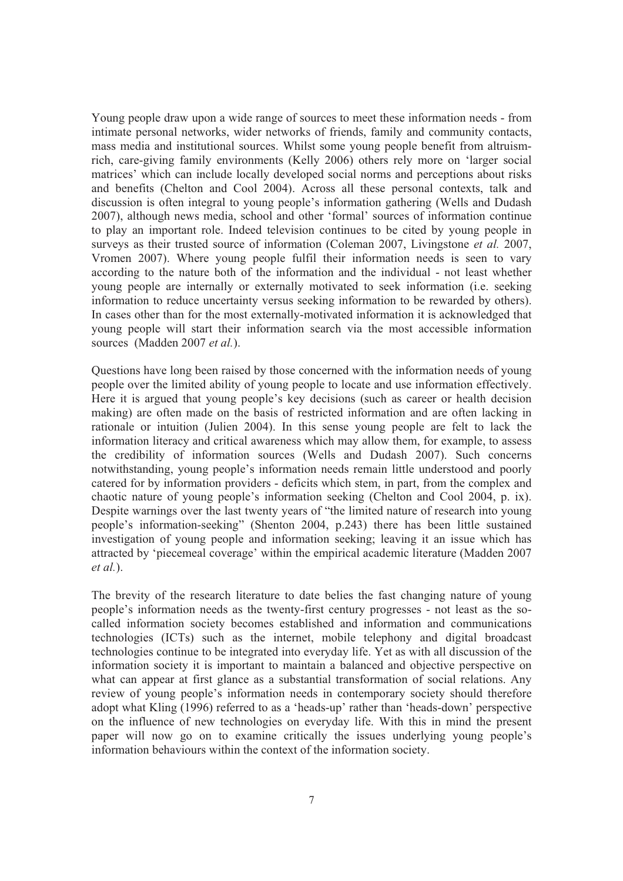Young people draw upon a wide range of sources to meet these information needs - from<br>intimate personal networks, wider networks of friends, family and community contacts,<br>mass media and institutional sources. Whilst some rich, care-giving family environments (Kelly 2006) others rely more on 'larger social matrices' which can include locally developed social norms and perceptions about risks and benefits (Chelton and Cool 2004). Across all these personal contexts, talk and discussion is often integral to young people's information gathering (Wells and Dudash 2007), although news media, school and other 'formal' sources of information continue to play an important role. Indeed television continues to be cited by young people in surveys as their trusted source of information (Coleman 2007, Livingstone *et al.* 2007, Vromen 2007). Where young people fulfil their information needs is seen to vary according to the nature both of the information and the individual - not least whether young people are internally or externally motivated to seek information (i.e. seeking information to reduce uncertainty versus seeking information to be rewarded by others). In cases other than for the most externally-mot

Questions have long been raised by those concerned with the information needs of young people over the limited ability of young people to locate and use information effectively. Here it is argued that young people's key decisions (such as career or health decision making) are often made on the basis of restricted information and are often lacking in rationale or intuition (Julien 2004). In this sense young people are felt to lack the information literacy and critical awareness which may allow them, for example, to assess the credibility of information sources (Wells and Dudash 2007). Such concerns notwithstanding, young people's information needs remain little understood and poorly catered for by information providers - deficits which stem, in part, from the complex and chaotic nature of young people's information seeking (Chelton and Cool 2004, p. ix). Despite warnings over the last twenty years of "the limited nature of research into young people's information-seeking" (Shenton 2004, p.243) there has been little sustained investigation of young people and information seeking; leaving it an issue which has attracted by 'piecemeal coverage' within the empirical academic literature (Madden 2007 *et al.*).

The brevity of the research literature to date belies the fast changing nature of young people's information needs as the twenty-first century progresses - not least as the so called information society becomes established and information and communications technologies (ICTs) such as the internet, mobile telephony and digital broadcast<br>technologies continue to be integrated into everyday life. Yet as with all discussion of the<br>information society it is important to maintain on the influence of new technologies on everyday life. With this in mind the present paper will now go on to examine critically the issues underlying young people's information behaviours within the context of the informat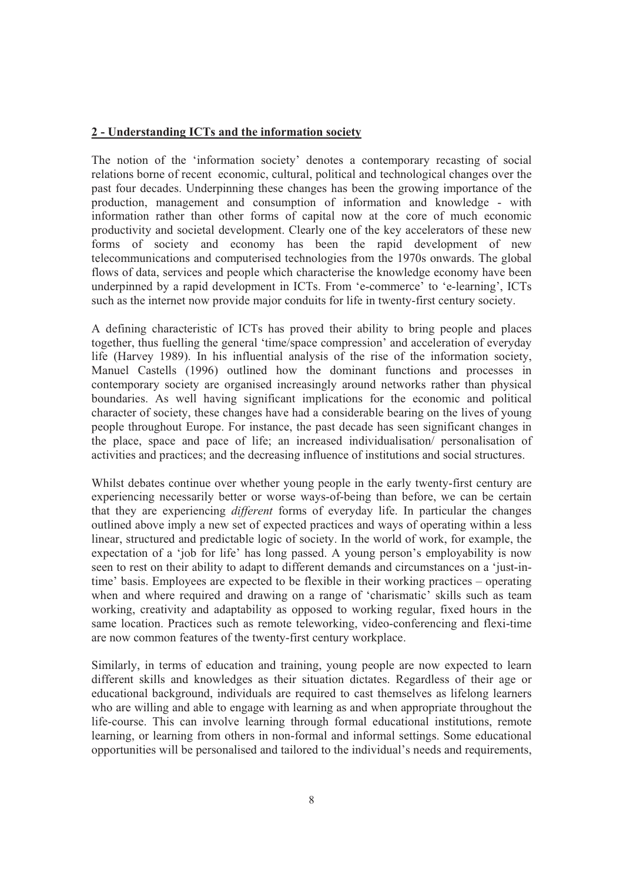#### **2 - Understanding ICTs and the information society**

The notion of the 'information society' denotes a contemporary recasting of social<br>relations borne of recent economic, cultural, political and technological changes over the<br>past four decades. Underpinning these changes ha information rather than other forms of capital now at the core of much economic productivity and societal development. Clearly one of the key accelerators of these new<br>forms of society and economy has been the rapid development of new<br>telecommunications and computerised technologies from the 1970s onw

A defining characteristic of ICTs has proved their ability to bring people and places together, thus fuelling the general 'time/space compression' and acceleration of everyday life (Harvey 1989). In his influential analysis of the rise of the information society, Manuel Castells (1996) outlined how the dominant functions and processes in contemporary society are organised increasingly around networks rather than physical boundaries. As well having significant implications for the economic and political character of society, these changes have had a considerable bearing on the lives of young people throughout Europe. For instance, the past decade has seen significant changes in the place, space and pace of life; an increased individualisation/ personalisation of activities and practices; and the decreasing influence of institutions and social structures.

Whilst debates continue over whether young people in the early twenty-first century are experiencing necessarily better or worse ways-of-being than before, we can be certain that they are experiencing *different* forms of outlined above imply a new set of expected practices and ways of operating within a less linear, structured and predictable logic of society. In the world of work, for example, the expectation of a 'job for life' has long passed. A young person's employability is now seen to rest on their ability to adapt to different demands and circumstances on a 'just-intime' basis. Employees are expected to be flexible in their working practices – operating when and where required and drawing on a range of 'charismatic' skills such as team working, creativity and adaptability as opposed to working regular, fixed hours in the same location. Practices such as remote teleworking, video-conferencing and flexi-time are now common features of the twenty-first century workplace.

Similarly, in terms of education and training, young people are now expected to learn<br>different skills and knowledges as their situation dictates. Regardless of their age or<br>educational background, individuals are required who are willing and able to engage with learning as and when appropriate throughout the life-course. This can involve learning through formal educational institutions, remote learning, or learning from others in non-formal and informal settings. Some educational opportunities will be personalised and tailored to the individual's needs and requirements,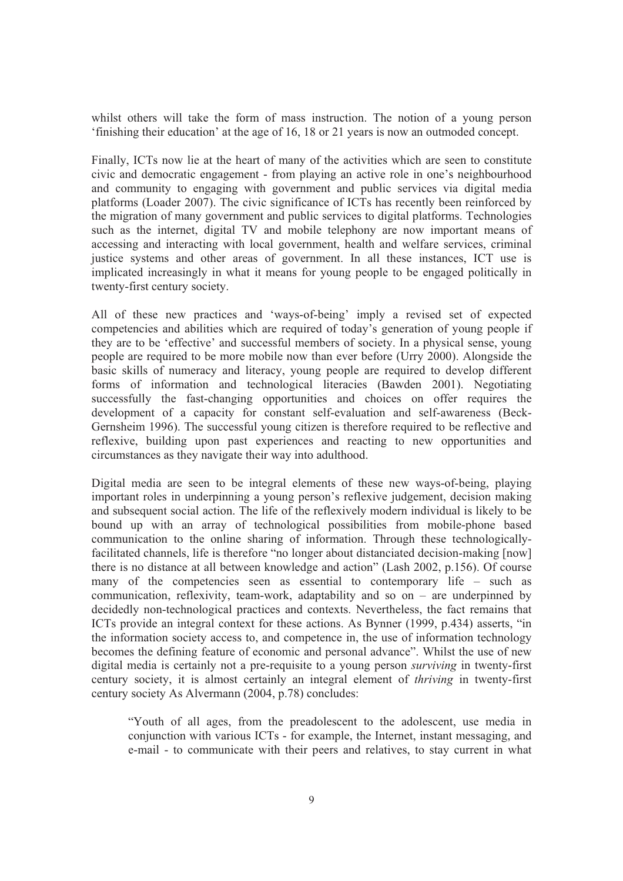whilst others will take the form of mass instruction. The notion of a young person 'finishing their education' at the age of 16, 18 or 21 years is now an outmoded concept.

Finally, ICTs now lie at the heart of many of the activities which are seen to constitute civic and democratic engagement - from playing an active role in one's neighbourhood and community to engaging with government and public services via digital media<br>platforms (Loader 2007). The civic significance of ICTs has recently been reinforced by the migration of many government and public services to digital platforms. Technologies such as the internet, digital TV and mobile telephony are now important means of accessing and interacting with local government, health and welfare services, criminal justice systems and other areas of government. In all these instances, ICT use is implicated increasingly in what it means for young people to be engaged politically in twenty-first century society.

All of these new practices and 'ways-of-being' imply a revised set of expected competencies and abilities which are required of today's generation of young people if they are to be 'effective' and successful members of society. In a physical sense, young people are required to be more mobile now than ever before (Urry 2000). Alongside the basic skills of numeracy and literacy, young people are required to develop different forms of information and technological literacies (Bawden 2001). Negotiating successfully the fast-changing opportunities and choices on offer requires the development of a capacity for constant self-evaluation and self-awareness (Beck- Gernsheim 1996). The successful young citizen is therefore required to be reflective and reflexive, building upon past experiences and reacting to new opportunities and circumstances as they navigate their way into adulthood.

Digital media are seen to be integral elements of these new ways-of-being, playing important roles in underpinning a young person's reflexive judgement, decision making<br>and subsequent social action. The life of the reflexively modern individual is likely to be<br>bound up with an array of technological poss facilitated channels, life is therefore "no longer about distanciated decision-making [now] there is no distance at all between knowledge and action" (Lash 2002, p.156). Of course many of the competencies seen as essential to contemporary life – such as<br>communication, reflexivity, team-work, adaptability and so on – are underpinned by<br>decidedly non-technological practices and contexts. Nevertheless the information society access to, and competence in, the use of information technology becomes the defining feature of economic and personal advance". Whilst the use of new digital media is certainly not a pre-requisite to a young person *surviving* in twenty-first century society, it is almost certainly an integral element of *thriving* in twenty-first century society As Alvermann (2004, p.78) concludes:

"Youth of all ages, from the preadolescent to the adolescent, use media in conjunction with various ICTs - for example, the Internet, instant messaging, and e-mail - to communicate with their peers and relatives, to stay current in what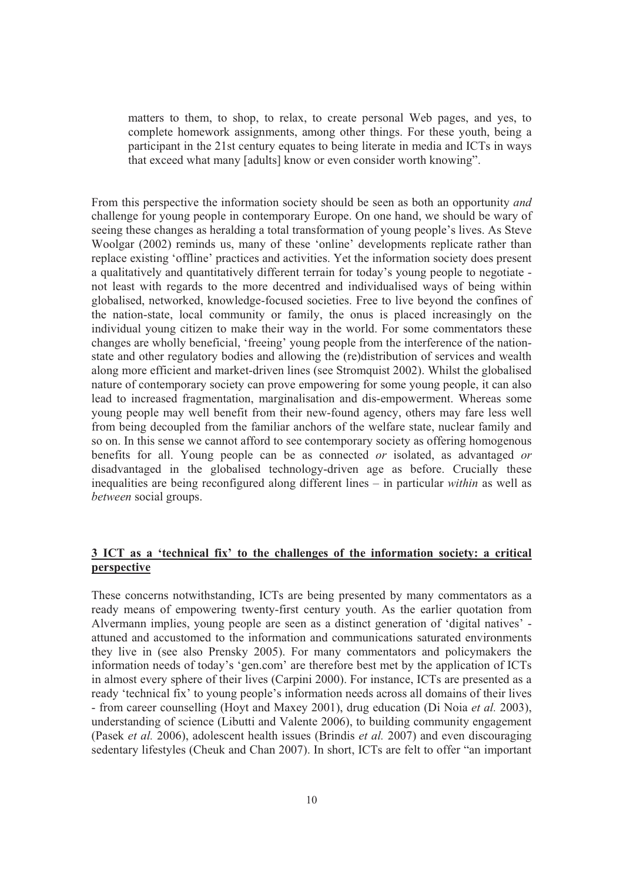matters to them, to shop, to relax, to create personal Web pages, and yes, to complete homework assignments, among other things. For these youth, being a participant in the 21st century equates to being literate in media and ICTs in ways that exceed what many [adults] know or even consider worth knowing".

From this perspective the information society should be seen as both an opportunity *and* challenge for young people in contemporary Europe. On one hand, we should be wary of seeing these changes as heralding a total transformation of young people's lives. As Steve Woolgar (2002) reminds us, many of these 'online' developments replicate rather than replace existing 'offline' practices and activities. Yet the information society does present a qualitatively and quantitatively differen not least with regards to the more decentred and individualised ways of being within globalised, networked, knowledge-focused societies. Free to live beyond the confines of the nation-state, local community or family, the onus is placed increasingly on the individual young citizen to make their way in the world. For some commentators these changes are wholly beneficial, 'freeing' young people state and other regulatory bodies and allowing the (re)distribution of services and wealth along more efficient and market-driven lines (see Stromquist 2002). Whilst the globalised nature of contemporary society can prove empowering for some young people, it can also<br>lead to increased fragmentation, marginalisation and dis-empowerment. Whereas some young people may well benefit from their new-found agency, others may fare less well<br>from being decoupled from the familiar anchors of the welfare state, nuclear family and so on. In this sense we cannot afford to see contemporary society as offering homogenous benefits for all. Young people can be as connected *or* isolated, as advantaged *or* disadvantaged in the globalised technology-driven age as before. Crucially these inequalities are being reconfigured along different lines – in particular *within* as well as *between* social groups.

#### **3 ICT as a 'technical fix' to the challenges of the information society: a critical perspective**

These concerns notwithstanding, ICTs are being presented by many commentators as a ready means of empowering twenty-first century youth. As the earlier quotation from Alvermann implies, young people are seen as a distinct generation of 'digital natives' attuned and accustomed to the information and communications saturated environments they live in (see also Prensky 2005). For many commentators and policymakers the information needs of today's 'gen.com' are therefore best met by the application of ICTs in almost every sphere of their lives (Carpini 2000) - from career counselling (Hoyt and Maxey 2001), drug education (Di Noia *et al.* 2003), understanding of science (Libutti and Valente 2006), to building community engagement (Pasek *et al.* 2006), adolescent health issues (Brindis *et al.* 2007) and even discouraging sedentary lifestyles (Cheuk and Chan 2007). In short, ICTs are felt to offer "an important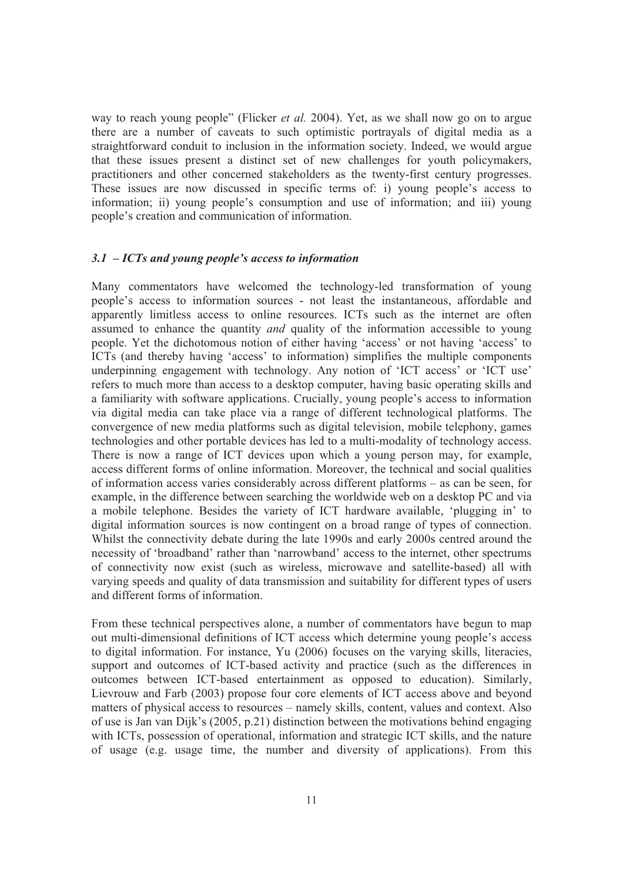way to reach young people" (Flicker *et al.* 2004). Yet, as we shall now go on to argue there are a number of caveats to such optimistic portrayals of digital media as a straightforward conduit to inclusion in the information society. Indeed, we would argue<br>that these issues present a distinct set of new challenges for youth policymakers,<br>practitioners and other concerned stakeholders as t These issues are now discussed in specific terms of: i) young people's access to information; ii) young people's consumption and use of information; and iii) young people's creation and communication of information.

#### *3.1 – ICTs and young people's access to information*

Many commentators have welcomed the technology-led transformation of young people's access to information sources - not least the instantaneous, affordable and apparently limitless access to online resources. ICTs such as the internet are often assumed to enhance the quantity *and* quality of the information accessible to young people. Yet the dichotomous notion of either having 'access' or not having 'access' to ICTs (and thereby having 'access' to information) simplifies the multiple components underpinning engagement with technology. Any notion of 'ICT access' or 'ICT use' refers to much more than access to a desktop computer, having basic operating skills and a familiarity with software applications. Crucially, young people's access to information via digital media can take place via a range of different technological platforms. The convergence of new media platforms such as digital television, mobile telephony, games technologies and other portable devices has led to a multi-modality of technology access. There is now a range of ICT devices upon which a young person may, for example, access different forms of online information. Moreover, the technical and social qualities of information access varies considerably across different platforms – as can be seen, for example, in the difference between searching the worldwide web on a desktop PC and via a mobile telephone. Besides the variety of ICT hardware available, 'plugging in' to digital information sources is now contingent on a broad range of types of connection. Whilst the connectivity debate during the late 1990s and early 2000s centred around the necessity of 'broadband' rather than 'narrowband' access to the internet, other spectrums<br>of connectivity now exist (such as wireless, microwave and satellite-based) all with<br>varying speeds and quality of data transmission and different forms of information.

From these technical perspectives alone, a number of commentators have begun to map out multi-dimensional definitions of ICT access which determine young people's access<br>to digital information. For instance, Yu (2006) focuses on the varying skills, literacies,<br>support and outcomes of ICT-based activity an matters of physical access to resources – namely skills, content, values and context. Also of use is Jan van Dijk's (2005, p.21) distinction between the motivations behind engaging with ICTs, possession of operational, information and strategic ICT skills, and the nature of usage (e.g. usage time, the number and diversity of applications). From this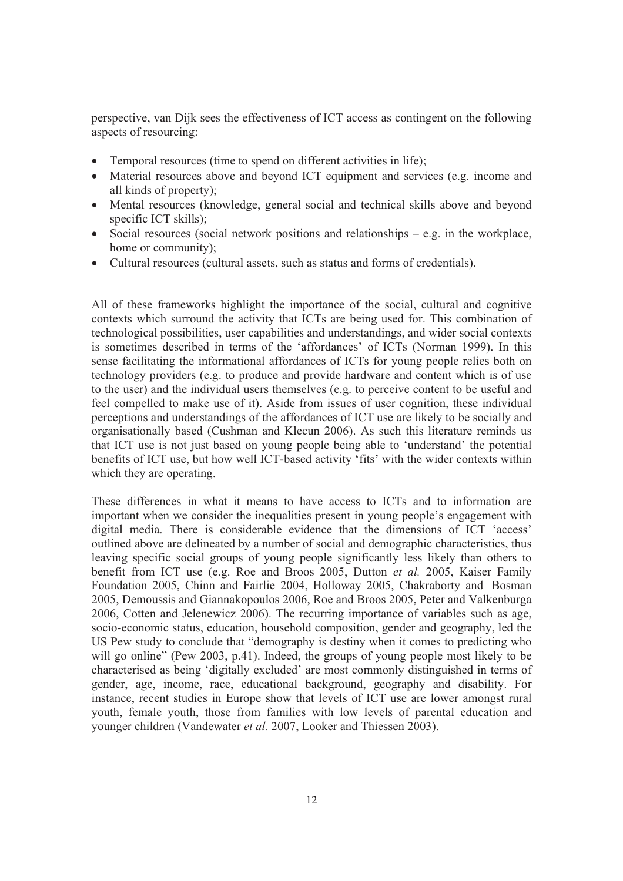perspective, van Dijk sees the effectiveness of ICT access as contingent on the following aspects of resourcing:

- Temporal resources (time to spend on different activities in life):
- Material resources above and beyond ICT equipment and services (e.g. income and all kinds of property);
- Mental resources (knowledge, general social and technical skills above and beyond specific ICT skills);
- Social resources (social network positions and relationships e.g. in the workplace, home or community);
- Cultural resources (cultural assets, such as status and forms of credentials).

All of these frameworks highlight the importance of the social, cultural and cognitive contexts which surround the activity that ICTs are being used for. This combination of technological possibilities, user capabilities and understandings, and wider social contexts is sometimes described in terms of the 'affordances' of ICTs (Norman 1999). In this sense facilitating the informational affordances of ICTs for young people relies both on technology providers (e.g. to produce and provide hardware and content which is of use<br>to the user) and the individual users themselves (e.g. to perceive content to be useful and<br>feel compelled to make use of it). Aside fr organisationally based (Cushman and Klecun 2006). As such this literature reminds us that ICT use is not just based on young people being able to 'understand' the potential benefits of ICT use, but how well ICT-based activity 'fits' with the wider contexts within which they are operating.

These differences in what it means to have access to ICTs and to information are important when we consider the inequalities present in young people's engagement with digital media. There is considerable evidence that the dimensions of ICT 'access' outlined above are delineated by a number of social and demographic characteristics, thus leaving specific social groups of young people significantly less likely than others to benefit from ICT use (e.g. Roe and Broos 2005, Dutton *et al.* 2005, Kaiser Family Foundation 2005, Chinn and Fairlie 2004, Holloway 2005, Chakraborty and Bosman 2005, Demoussis and Giannakopoulos 2006, Roe and Broos 2005, Peter and Valkenburga 2006, Cotten and Jelenewicz 2006). The recurring importance socio-economic status, education, household composition, gender and geography, led the US Pew study to conclude that "demography is destiny when it comes to predicting who will go online" (Pew 2003, p.41). Indeed, the grou instance, recent studies in Europe show that levels of ICT use are lower amongst rural youth, female youth, those from families with low levels of parental education and younger children (Vandewater *et al.* 2007, Looker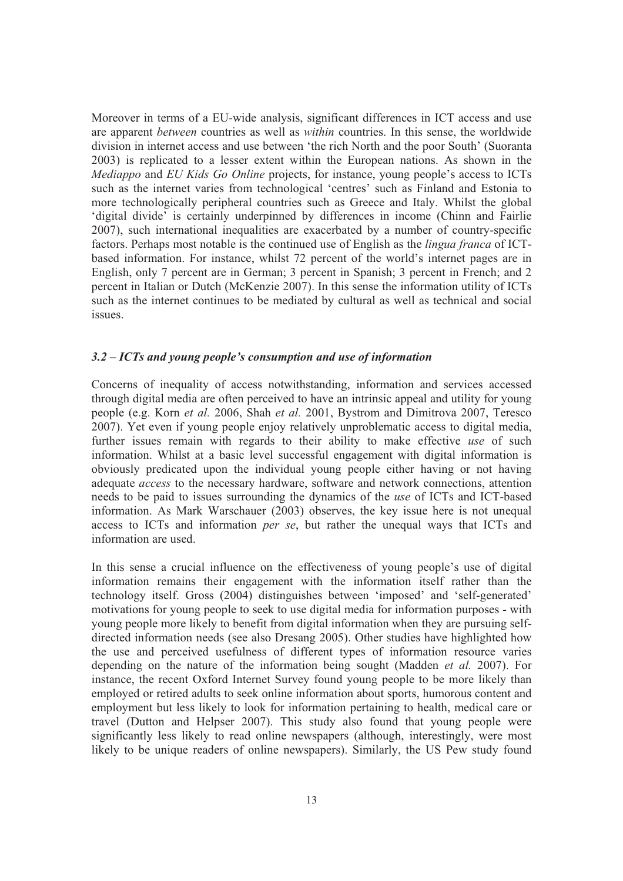Moreover in terms of a EU-wide analysis, significant differences in ICT access and use are apparent *between* countries as well as *within* countries. In this sense, the worldwide division in internet access and use between 'the rich North and the poor South' (Suoranta 2003) is replicated to a lesser extent within the European nations. As shown in the *Mediappo* and *EU Kids Go Online* projects, for instance, young people's access to ICTs such as the internet varies from technological 'centres' such as Finland and Estonia to more technologically peripheral countries such as Greece and Italy. Whilst the global 'digital divide' is certainly underpinned by differences in income (Chinn and Fairlie 2007), such international inequalities are exacerb factors. Perhaps most notable is the continued use of English as the *lingua franca* of ICT based information. For instance, whilst 72 percent of the world's internet pages are in English, only 7 percent are in German; 3 percent in Spanish; 3 percent in French; and 2 percent in Italian or Dutch (McKenzie 2007). In this sense the information utility of ICTs such as the internet continues to be mediated by cultural as well as technical and social issues.

#### *3.2 – ICTs and young people's consumption and use of information*

Concerns of inequality of access notwithstanding, information and services accessed through digital media are often perceived to have an intrinsic appeal and utility for young people (e.g. Korn *et al.* 2006, Shah *et al.* 2001, Bystrom and Dimitrova 2007, Teresco 2007). Yet even if young people enjoy relatively unproblematic access to digital media, further issues remain with regards to their a information. Whilst at a basic level successful engagement with digital information is obviously predicated upon the individual young people either having or not having<br>adequate *access* to the necessary hardware, software and network connections, attention<br>needs to be paid to issues surrounding the dynamics information. As Mark Warschauer (2003) observes, the key issue here is not unequal access to ICTs and information *per se*, but rather the unequal ways that ICTs and information are used. In this sense a crucial influence on the effectiveness of young people's use of digital

information remains their engagement with the information itself rather than the technology itself. Gross (2004) distinguishes between 'imposed' and 'self-generated' motivations for young people to seek to use digital media for information purposes - with young people more likely to benefit from digital information when they are pursuing selfdirected information needs (see also Dresang 2005). Other studies have highlighted how<br>the use and perceived usefulness of different types of information resource varies<br>depending on the nature of the information being sou instance, the recent Oxford Internet Survey found young people to be more likely than employed or retired adults to seek online information about sports, humorous content and employment but less likely to look for information pertaining to health, medical care or travel (Dutton and Helpser 2007). This study also found that young people were significantly less likely to read online newspapers (although, interestingly, were most likely to be unique readers of online newspapers). Similarly, the US Pew study found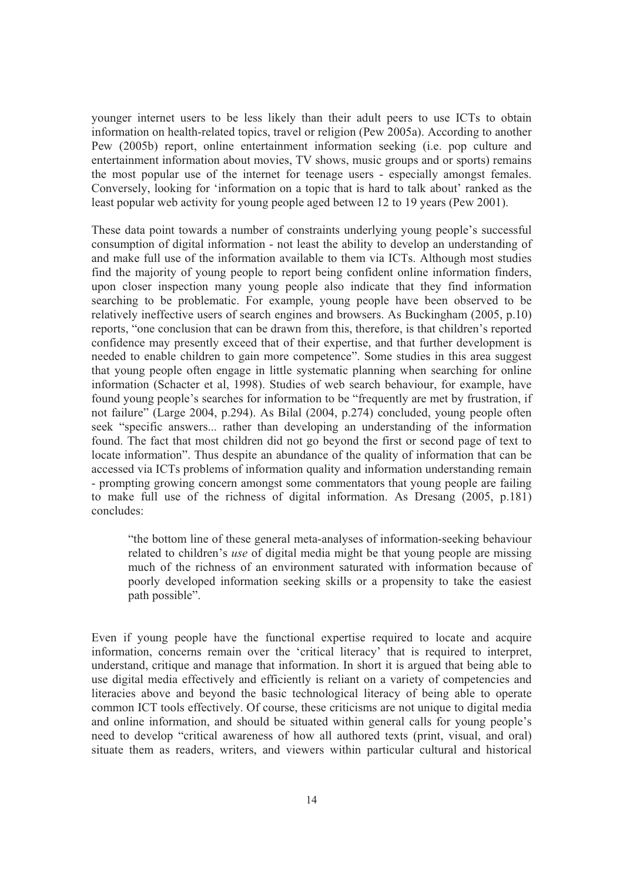younger internet users to be less likely than their adult peers to use ICTs to obtain information on health-related topics, travel or religion (Pew 2005a). According to another Pew (2005b) report, online entertainment information seeking (i.e. pop culture and entertainment information about movies, TV shows, music groups and or sports) remains<br>the most popular use of the internet for teenage users - especially amongst females.<br>Conversely, looking for 'information on a topic tha

These data point towards a number of constraints underlying young people's successful consumption of digital information - not least the ability to develop an understanding of and make full use of the information available to them via ICTs. Although most studies find the majority of young people to report being confident online information finders, upon closer inspection many young people also indicate that they find information searching to be problematic. For example, young peop that young people often engage in little systematic planning when searching for online information (Schacter et al, 1998). Studies of web search behaviour, for example, have found young people's searches for information to be "frequently are met by frustration, if not failure" (Large 2004, p.294). As Bilal (2004, p.274) concluded, young people often<br>seek "specific answers... rather than developing an understanding of the information<br>found. The fact that most children did not go beyo - prompting growing concern amongst some commentators that young people are failing to make full use of the richness of digital information. As Dresang (2005, p.181) concludes:

"the bottom line of these general meta-analyses of information-seeking behaviour related to children's *use* of digital media might be that young people are missing much of the richness of an environment saturated with information because of poorly developed information seeking skills or a propensity to take the easiest path possible".

Even if young people have the functional expertise required to locate and acquire information, concerns remain over the 'critical literacy' that is required to interpret, understand, critique and manage that information. I use digital media effectively and efficiently is reliant on a variety of competencies and literacies above and beyond the basic technological literacy of being able to operate common ICT tools effectively. Of course, these criticisms are not unique to digital media and online information, and should be situated situate them as readers, writers, and viewers within particular cultural and historical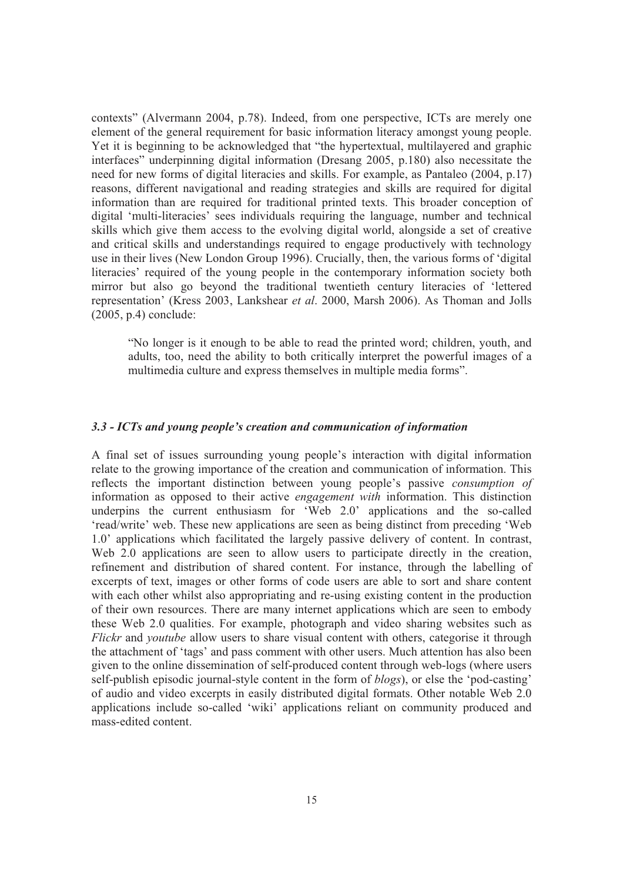contexts" (Alvermann 2004, p.78). Indeed, from one perspective, ICTs are merely one element of the general requirement for basic information literacy amongst young people. Yet it is beginning to be acknowledged that "the hypertextual, multilayered and graphic interfaces" underpinning digital information (Dresang 2005, p.180) also necessitate the need for new forms of digital literacies and skills. For example, as Pantaleo (2004, p.17) reasons, different navigational and reading information than are required for traditional printed texts. This broader conception of digital 'multi-literacies' sees individuals requiring the language, number and technical skills which give them access to the evolving digital world, alongside a set of creative and critical skills and understandings requi use in their lives (New London Group 1996). Crucially, then, the various forms of 'digital literacies' required of the young people in the contemporary information society both mirror but also go beyond the traditional twentieth century literacies of 'lettered representation' (Kress 2003, Lankshear *et al.* 2000 (2005, p.4) conclude:

"No longer is it enough to be able to read the printed word; children, youth, and adults, too, need the ability to both critically interpret the powerful images of a multimedia culture and express themselves in multiple me

#### *3.3 - ICTs and young people's creation and communication of information*

A final set of issues surrounding young people's interaction with digital information relate to the growing importance of the creation and communication of information. This reflects the important distinction between young people's passive *consumption of* information as opposed to their active *engagement with* information. This distinction underpins the current enthusiasm for 'Web 2.0' applications and the so-called 'read/write' web. These new applications are seen as being distinct from preceding 'Web 1.0' applications which facilitated the largely passive delivery of content. In contrast, Web 2.0 applications are seen to allow users to participate directly in the creation, refinement and distribution of shared content. For instance, through the labelling of excerpts of text, images or other forms of code users are able to sort and share content with each other whilst also appropriating and re-using existing content in the production of their own resources. There are many internet applications which are seen to embody these Web 2.0 qualities. For example, photograph and video sharing websites such as *Flickr* and *youtube* allow users to share visual content with others, categorise it through the attachment of 'tags' and pass comment with other users. Much attention has also been given to the online dissemination of self-produced content through web-logs (where users self-publish episodic journal-style content in the form of *blogs*), or else the 'pod-casting' of audio and video excerpts in easily distributed digital formats. Other notable Web 2.0 applications include so-called 'wiki' applications reliant on community produced and mass-edited content.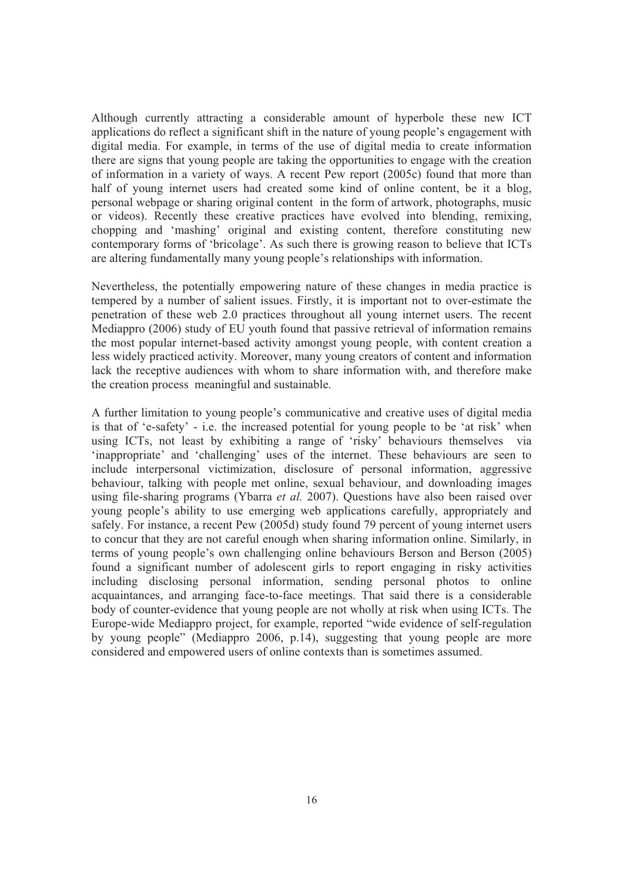Although currently attracting a considerable amount of hyperbole these new ICT applications do reflect a significant shift in the nature of young people's engagement with digital media. For example, in terms of the use of digital media to create information there are signs that young people are taking the opportunities to engage with the creation of information in a variety of ways. A recent Pew report (2005c) found that more than half of young internet users had created some kind of online content, be it a blog, or videos). Recently these creative practices have evolved into blending, remixing, chopping and 'mashing' original and existing content, therefore constituting new contemporary forms of 'bricolage'. As such there is growing reason to believe that ICTs are altering fundamentally many young people's relationships with information.

Nevertheless, the potentially empowering nature of these changes in media practice is tempered by a number of salient issues. Firstly, it is important not to over-estimate the penetration of these web 2.0 practices throughout all young internet users. The recent Mediappro (2006) study of EU youth found that passive retrieval of information remains the most popular internet-based activity amongst young people, with content creation a less widely practiced activity. Moreover, many young creators of content and information lack the receptive audiences with whom to share information with, and therefore make the creation process meaningful and sustainable.

A further limitation to young people's communicative and creative uses of digital media is that of 'e-safety' - i.e. the increased potential for young people to be 'at risk' when using ICTs, not least by exhibiting a range of 'risky' behaviours themselves via 'inappropriate' and 'challenging' uses of the internet. These behaviours are seen to include interpersonal victimization, disclosure of personal information, aggressive<br>behaviour, talking with people met online, sexual behaviour, and downloading images<br>using file-sharing programs (Ybarra *et al.* 2007). Qu safely. For instance, a recent Pew (2005d) study found 79 percent of young internet users to concur that they are not careful enough when sharing information online. Similarly, in terms of young people's own challenging online behaviours Berson and Berson (2005) found a significant number of adolescent girls to report engaging in risky activities<br>including disclosing personal information, sending personal photos to online<br>acquaintances, and arranging face-to-face meetings. That sa by young people" (Mediappro 2006, p.14), suggesting that young people are more considered and empowered users of online contexts than is sometimes assumed.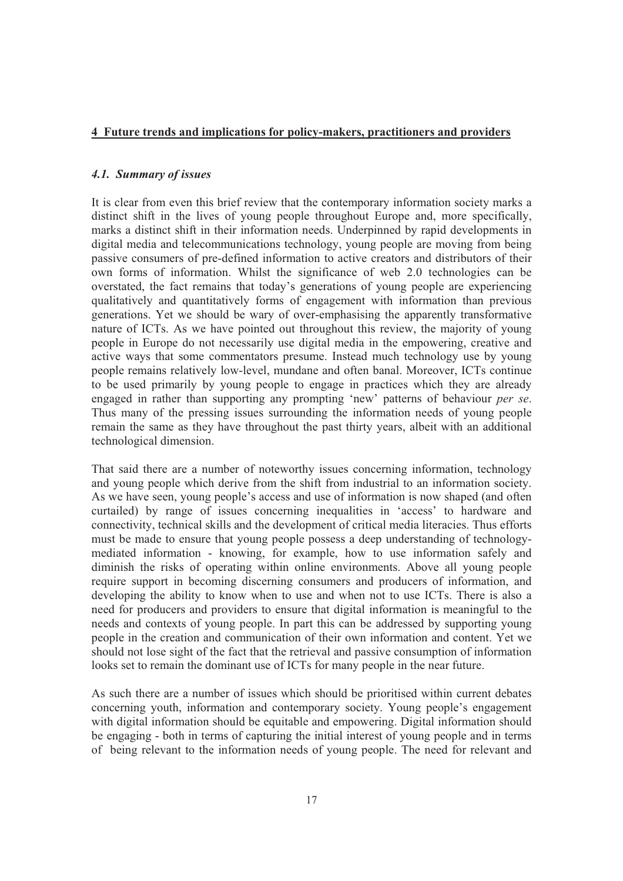#### **4 Future trends and implications for policy-makers, practitioners and providers**

#### *4.1. Summary of issues*

It is clear from even this brief review that the contemporary information society marks a distinct shift in the lives of young people throughout Europe and, more specifically, marks a distinct shift in their information needs. Underpinned by rapid developments in digital media and telecommunications technology, young people are moving from being passive consumers of pre-defined information to active creators and distributors of their own forms of information. Whilst the significance of web 2.0 technologies can be overstated, the fact remains that today's generations of young people are experiencing qualitatively and quantitatively forms of engagement with information than previous generations. Yet we should be wary of over-emphasising the apparently transformative nature of ICTs. As we have pointed out throughout thi people in Europe do not necessarily use digital media in the empowering, creative and active ways that some commentators presume. Instead much technology use by young people remains relatively low-level, mundane and often banal. Moreover, ICTs continue to be used primarily by young people to engage in practices which they are already engaged in rather than supporting any prompting 'new' patterns of behaviour *per se*.<br>Thus many of the pressing issues surrounding the information needs of young people<br>remain the same as they have throughout the past thir technological dimension.

That said there are a number of noteworthy issues concerning information, technology and young people which derive from the shift from industrial to an information society. As we have seen, young people's access and use of information is now shaped (and often curtailed) by range of issues concerning inequalities in 'access' to hardware and connectivity, technical skills and the development of critical media literacies. Thus efforts must be made to ensure that young people possess a deep understanding of technologymediated information - knowing, for example, how to use information safely and diminish the risks of operating within online environments. Above all young people require support in becoming discerning consumers and producers of information, and<br>developing the ability to know when to use and when not to use ICTs. There is also a<br>need for producers and providers to ensure that digita needs and contexts of young people. In part this can be addressed by supporting young people in the creation and communication of their own information and content. Yet we should not lose sight of the fact that the retrieval and passive consumption of information looks set to remain the dominant use of ICTs for many people in the near future.

As such there are a number of issues which should be prioritised within current debates concerning youth, information and contemporary society. Young people's engagement with digital information should be equitable and empowering. Digital information should be engaging - both in terms of capturing the initial interest of young people and in terms of being relevant to the information needs of young people. The need for relevant and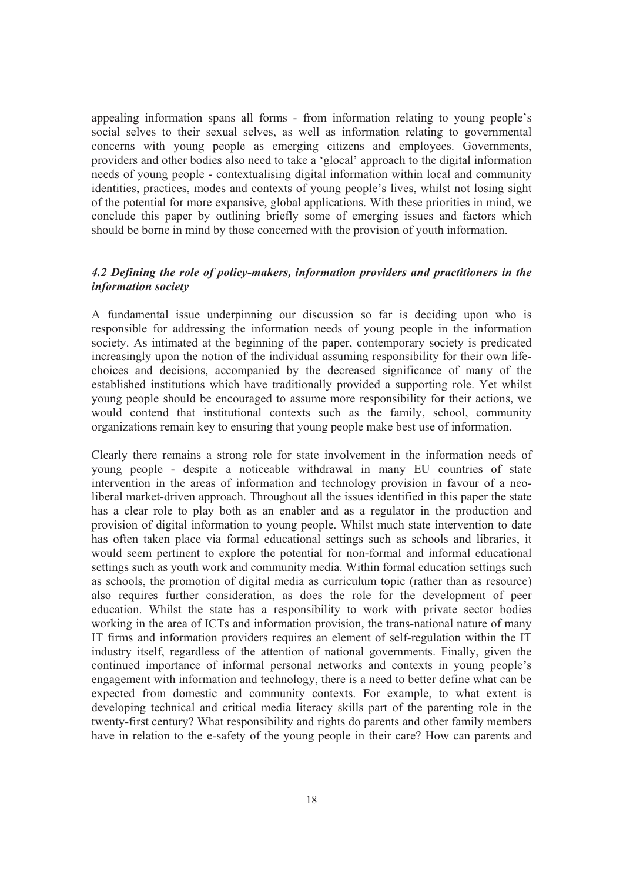appealing information spans all forms - from information relating to young people's social selves to their sexual selves, as well as information relating to governmental concerns with young people as emerging citizens and employees. Governments, providers and other bodies also need to take a 'glocal' approach to the digital information needs of young people - contextualising digital information within local and community identities, practices, modes and contexts of young people's lives, whilst not losing sight<br>of the potential for more expansive, global applications. With these priorities in mind, we<br>conclude this paper by outlining briefl

#### *4.2 Defining the role of policy-makers, information providers and practitioners in the information society*

A fundamental issue underpinning our discussion so far is deciding upon who is<br>responsible for addressing the information needs of young people in the information<br>society. As intimated at the beginning of the paper, contem choices and decisions, accompanied by the decreased significance of many of the established institutions which have traditionally provided a supporting role. Yet whilst voung people should be encouraged to assume more resp would contend that institutional contexts such as the family, school, community organizations remain key to ensuring that young people make best use of information.

Clearly there remains a strong role for state involvement in the information needs of young people - despite a noticeable withdrawal in many EU countries of state intervention in the areas of information and technology provision in favour of a neo liberal market-driven approach. Throughout all the issues identified in this paper the state has a clear role to play both as an enabler and as a regulator in the production and provision of digital information to young people. Whilst much state intervention to date has often taken place via formal educational settings such as schools and libraries, it would seem pertinent to explore the potential for non-formal and informal educational settings such as youth work and community media. Within formal education settings such as schools, the promotion of digital media as curriculum topic (rather than as resource) also requires further consideration, as does the role for the development of peer education. Whilst the state has a responsibility to work with private sector bodies working in the area of ICTs and information provision, the trans-national nature of many IT firms and information providers requires an element of self-regulation within the IT industry itself, regardless of the attention of national governments. Finally, given the continued importance of informal personal networks and contexts in young people's engagement with information and technology, there i developing technical and critical media literacy skills part of the parenting role in the twenty-first century? What responsibility and rights do parents and other family members have in relation to the e-safety of the you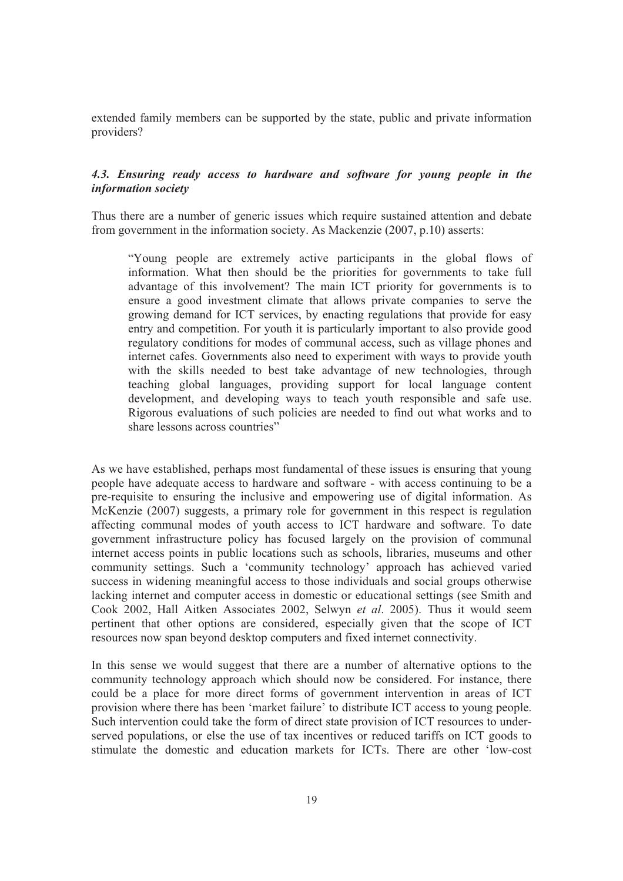extended family members can be supported by the state, public and private information providers?

## *4.3. Ensuring ready access to hardware and software for young people in the information society*

Thus there are a number of generic issues which require sustained attention and debate from government in the information society. As Mackenzie (2007, p.10) asserts:

"Young people are extremely active participants in the global flows of information. What then should be the priorities for governments to take full advantage of this involvement? The main ICT priority for governments is to growing demand for ICT services, by enacting regulations that provide for easy entry and competition. For youth it is particularly important to also provide good regulatory conditions for modes of communal access, such as village phones and internet cafes. Governments also need to experiment with ways to provide youth with the skills needed to best take advantage of new technologies, through teaching global languages, providing support for local language content development, and developing ways to teach youth responsible and safe use. Rigorous evaluations of such policies are needed to find out what works and to share lessons across countries"

As we have established, perhaps most fundamental of these issues is ensuring that young people have adequate access to hardware and software - with access continuing to be a pre-requisite to ensuring the inclusive and empowering use of digital information. As McKenzie (2007) suggests, a primary role for government in this respect is regulation affecting communal modes of youth access to ICT hardware and software. To date government infrastructure policy has focused largely on the provision of communal<br>internet access points in public locations such as schools, libraries, museums and other<br>community settings. Such a 'community technology' a lacking internet and computer access in domestic or educational settings (see Smith and Cook 2002, Hall Aitken Associates 2002, Selwyn *et al*. 2005). Thus it would seem pertinent that other options are considered, especially given that the scope of ICT resources now span beyond desktop computers and fixed internet connectivity.

In this sense we would suggest that there are a number of alternative options to the community technology approach which should now be considered. For instance, there could be a place for more direct forms of government in provision where there has been 'market failure' to distribute ICT access to young people. Such intervention could take the form of direct state provision of ICT resources to underserved populations, or else the use of tax incentives or reduced tariffs on ICT goods to stimulate the domestic and education markets for ICTs. There are other 'low-cost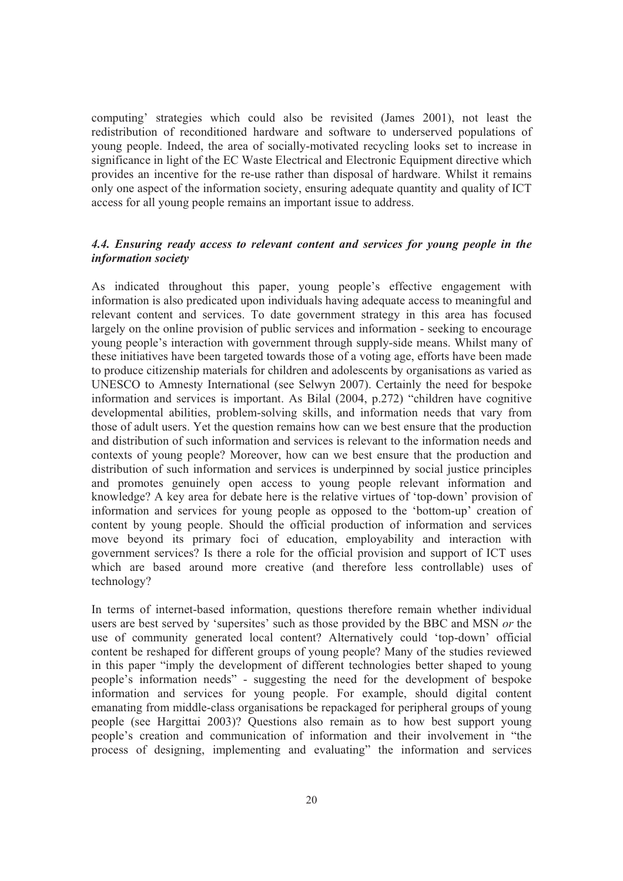computing' strategies which could also be revisited (James 2001), not least the redistribution of reconditioned hardware and software to underserved populations of young people. Indeed, the area of socially-motivated recyc significance in light of the EC Waste Electrical and Electronic Equipment directive which provides an incentive for the re-use rather than disposal of hardware. Whilst it remains<br>only one aspect of the information society, ensuring adequate quantity and quality of ICT<br>access for all young people remains an impo

## *4.4. Ensuring ready access to relevant content and services for young people in the information society*

As indicated throughout this paper, young people's effective engagement with information is also predicated upon individuals having adequate access to meaningful and relevant content and services. To date government strategy in this area has focused largely on the online provision of public services and information - seeking to encourage young people's interaction with government through supply-side means. Whilst many of these initiatives have been targeted towards those of a voting age, efforts have been made to produce citizenship materials for children and adolescents by organisations as varied as UNESCO to Amnesty International (see Selwyn 2007). Certainly the need for bespoke information and services is important. As Bilal (2004, p.272) "children have cognitive developmental abilities, problem-solving skills, and information needs that vary from those of adult users. Yet the question remains how can we best ensure that the production and distribution of such information and services is relevant to the information needs and contexts of young people? Moreover, how can we best ensure that the production and distribution of such information and services is underpinned by social justice principles and promotes genuinely open access to young people relevant information and knowledge? A key area for debate here is the relative virtues of 'top-down' provision of information and services for young people as opposed to the 'bottom-up' creation of content by young people. Should the official prod move beyond its primary foci of education, employability and interaction with government services? Is there a role for the official provision and support of ICT uses which are based around more creative (and therefore less controllable) uses of technology?

In terms of internet-based information, questions therefore remain whether individual users are best served by 'supersites' such as those provided by the BBC and MSN *or* the use of community generated local content? Alternatively could 'top-down' official content be reshaped for different groups of young people? Many of the studies reviewed in this paper "imply the development of different technologies better shaped to young<br>people's information needs" - suggesting the need for the development of bespoke<br>information and services for young people. For example, people (see Hargittai 2003)? Questions also remain as to how best support young people's creation and communication of information and their involvement in "the process of designing, implementing and evaluating" the information and services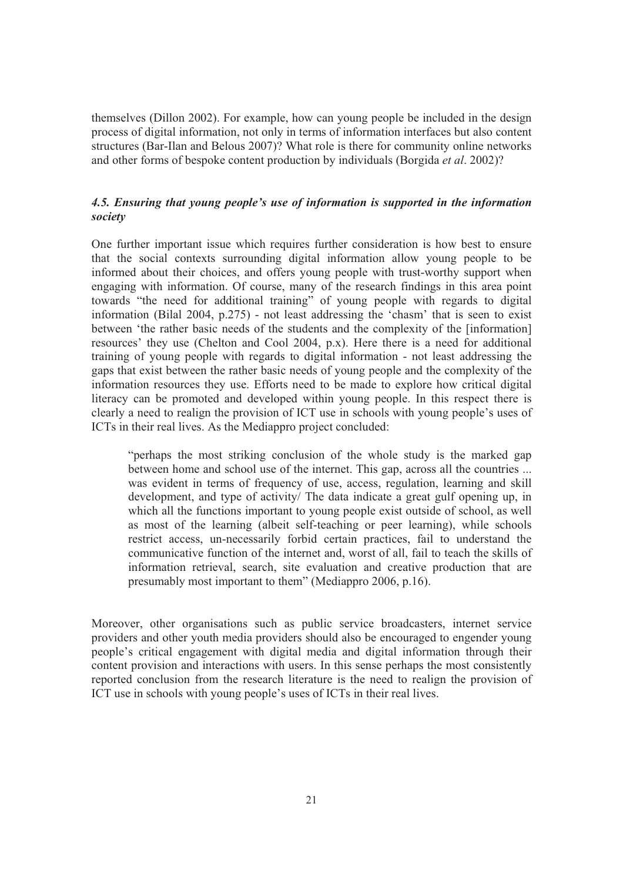themselves (Dillon 2002). For example, how can young people be included in the design process of digital information, not only in terms of information interfaces but also content structures (Bar-Ilan and Belous 2007)? What role is there for community online networks and other forms of bespoke content production by individuals (Borgida *et al*. 2002)?

#### *4.5. Ensuring that young people's use of information is supported in the information society*

One further important issue which requires further consideration is how best to ensure that the social contexts surrounding digital information allow young people to be informed about their choices, and offers young people with trust-worthy support when engaging with information. Of course, many of the research findings in this area point<br>towards "the need for additional training" of young people with regards to digital<br>information (Bilal 2004, p.275) - not least addressi between 'the rather basic needs of the students and the complexity of the [information] resources' they use (Chelton and Cool 2004, p.x). Here there is a need for additional training of young people with regards to digital information - not least addressing the gaps that exist between the rather basic needs of young people and the complexity of the information resources they use. Efforts need literacy can be promoted and developed within young people. In this respect there is clearly a need to realign the provision of ICT use in schools with young people's uses of ICTs in their real lives. As the Mediappro proj

"perhaps the most striking conclusion of the whole study is the marked gap between home and school use of the internet. This gap, across all the countries ... was evident in terms of frequency of use, access, regulation, learning and skill development, and type of activity/ The data indicate a great gulf opening up, in which all the functions important to young people exist outside of school, as well<br>as most of the learning (albeit self-teaching or peer learning), while schools<br>restrict access, un-necessarily forbid certain practices, fa

Moreover, other organisations such as public service broadcasters, internet service providers and other youth media providers should also be encouraged to engender young people's critical engagement with digital media and digital information through their content provision and interactions with users. In this sense perhaps the most consistently reported conclusion from the research literature is the need to realign the provision of ICT use in schools with young people's use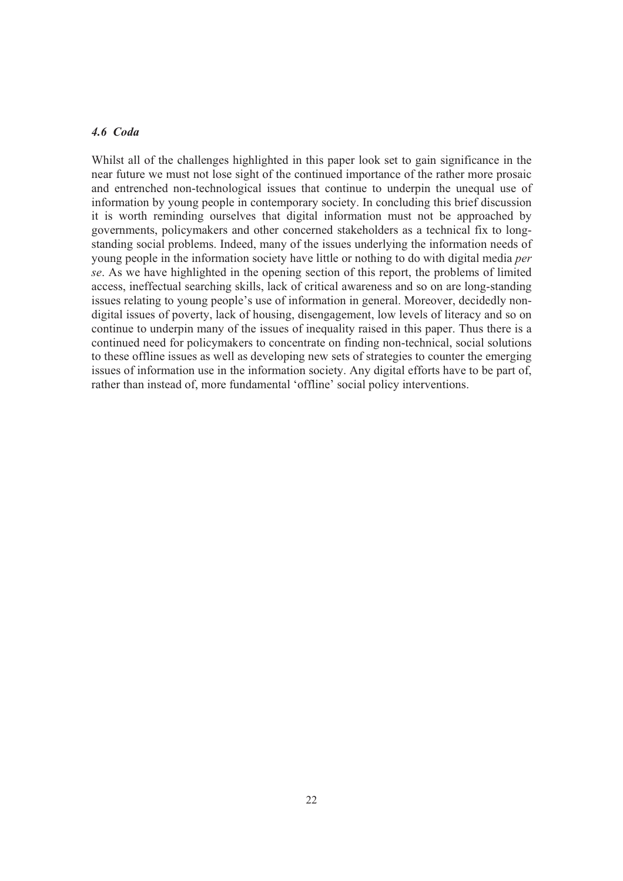#### *4.6 Coda*

Whilst all of the challenges highlighted in this paper look set to gain significance in the near future we must not lose sight of the continued importance of the rather more prosaic and entrenched non-technological issues governments, policymakers and other concerned stakeholders as a technical fix to longstanding social problems. Indeed, many of the issues underlying the information needs of young people in the information society have little or nothing to do with digital media *per* se. As we have highlighted in the openi access, ineffectual searching skills, lack of critical awareness and so on are long-standing issues relating to young people's use of information in general. Moreover, decidedly nondigital issues of poverty, lack of housing, disengagement, low levels of literacy and so on continue to underpin many of the issues of inequality raised in this paper. Thus there is a continued need for policymakers to concentrate on finding non-technical, social solutions to these offline issues as well as developing new sets of strategies to counter the emerging issues of information use in the information society. Any digital efforts have to be part of, rather than instead of, more fundamental 'offline' social policy interventions.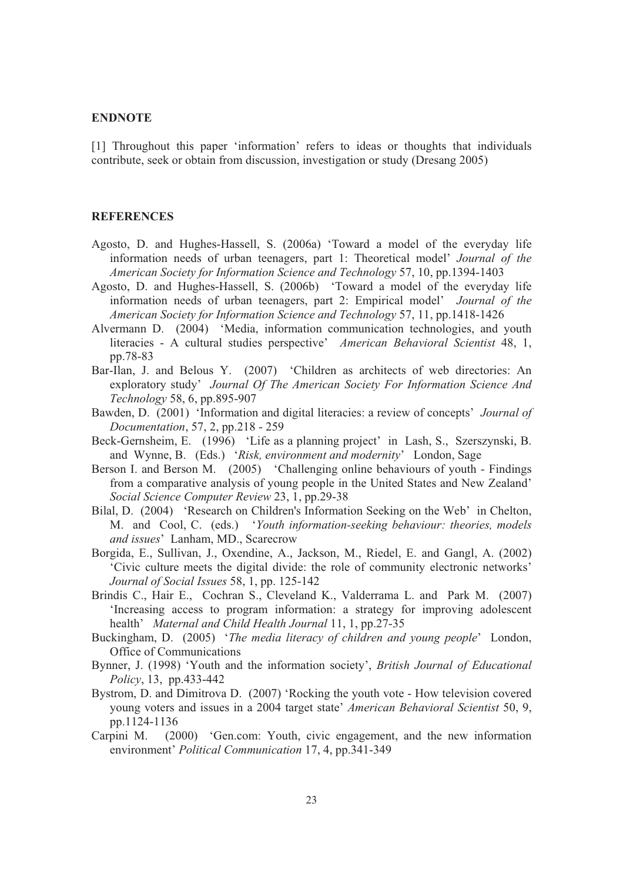#### **ENDNOTE**

[1] Throughout this paper 'information' refers to ideas or thoughts that individuals contribute, seek or obtain from discussion, investigation or study (Dresang 2005)

#### **REFERENCES**

- Agosto, D. and Hughes-Hassell, S. (2006a) 'Toward a model of the everyday life information needs of urban teenagers, part 1: Theoretical model' *Journal of the American Society for Information Science and Technology* 57, 1
- Agosto, D. and Hughes-Hassell, S. (2006b) 'Toward a model of the everyday life information needs of urban teenagers, part 2: Empirical model' *Journal of the American Society for Information Science and Technology* 57, 11,
- Alvermann D. (2004) 'Media, information communication technologies, and youth literacies A cultural studies perspective' *American Behavioral Scientist* 48, 1, pp.78-83
- Bar-Ilan, J. and Belous Y. (2007) 'Children as architects of web directories: An exploratory study' *Journal Of The American Society For Information Science And Technology* 58, 6, pp.895-907
- Bawden, D. (2001) 'Information and digital literacies: a review of concepts' *Journal of Documentation*, 57, 2, pp.218 - 259
- Beck-Gernsheim, E. (1996) 'Life as a planning project' in Lash, S., Szerszynski, B. and Wynne, B. (Eds.) '*Risk, environment and modernity*' London, Sage
- Berson I. and Berson M. (2005) 'Challenging online behaviours of youth Findings from a comparative analysis of young people in the United States and New Zealand' *Social Science Computer Review* 23, 1, pp.29-38<br>Bilal, D. (2004) 'Research on Children's Information Seeking on the Web' in Chelton,
- M. and Cool, C. (eds.) '*Youth information-seeking behaviour: theories, models and issues*' Lanham, MD., Scarecrow
- Borgida, E., Sullivan, J., Oxendine, A., Jackson, M., Riedel, E. and Gangl, A. (2002) 'Civic culture meets the digital divide: the role of community electronic networks'
- *Journal of Social Issues* 58, 1, pp. 125-142 Brindis C., Hair E., Cochran S., Cleveland K., Valderrama L. and Park M. (2007) 'Increasing access to program information: a strategy for improving adolescent
- health' *Maternal and Child Health Journal* 11, 1, pp.27-35<br>Buckingham, D. (2005) *'The media literacy of children and young people*' London, Office of Communications
- Bynner, J. (1998) 'Youth and the information society', *British Journal of Educational Policy*, 13, pp.433-442
- Bystrom, D. and Dimitrova D. (2007) 'Rocking the youth vote How television covered young voters and issues in a 2004 target state' American Behavioral Scientist 50, 9, pp.1124-1136<br>Carpini M. (2000) 'Gen.com: Youth, civic engagement, and the new information environment' Political Communication 17, 4, pp.
-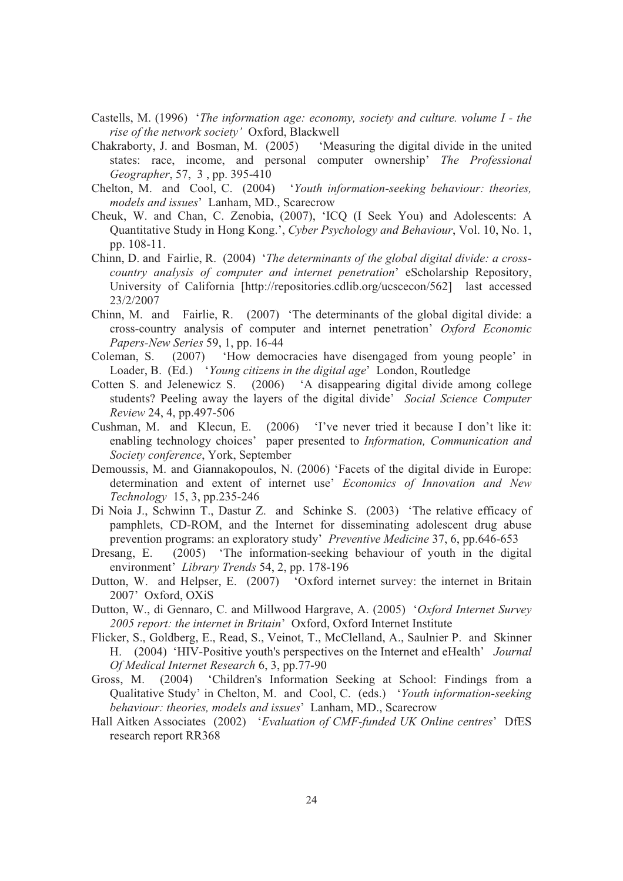- Castells, M. (1996) '*The information age: economy, society and culture. volume I the rise of the network society'* Oxford, Blackwell
- Chakraborty, J. and Bosman, M. (2005) 'Measuring the digital divide in the united states: race, income, and personal computer ownership' *The Professional Geographer*, 57, 3 , pp. 395-410
- Chelton, M. and Cool, C. (2004) '*Youth information-seeking behaviour: theories, models and issues*' Lanham, MD., Scarecrow
- Cheuk, W. and Chan, C. Zenobia, (2007), 'ICQ (I Seek You) and Adolescents: A Quantitative Study in Hong Kong.', *Cyber Psychology and Behaviour*, Vol. 10, No. 1, pp. 108-11.
- Chinn, D. and Fairlie, R. (2004) '*The determinants of the global digital divide: a cross country analysis of computer and internet penetration*' eScholarship Repository, University of California [http://repositories.cdlib.org/ucscecon/562] last accessed 23/2/2007
- Chinn, M. and Fairlie, R. (2007) 'The determinants of the global digital divide: a cross-country analysis of computer and internet penetration' *Oxford Economic Papers-New Series* 59, 1, pp. 16-44
- Coleman, S. (2007) 'How democracies have disengaged from young people' in Loader, B. (Ed.) '*Young citizens in the digital age*' London, Routledge
- Cotten S. and Jelenewicz S. (2006) 'A disappearing digital divide among college students? Peeling away the layers of the digital divide' *Social Science Computer Review* 24, 4, pp.497-506
- Cushman, M. and Klecun, E. (2006) 'I've never tried it because I don't like it: enabling technology choices' paper presented to *Information, Communication and Society conference*, York, September
- Demoussis, M. and Giannakopoulos, N. (2006) 'Facets of the digital divide in Europe: determination and extent of internet use' *Economics of Innovation and New Technology* 15, 3, pp.235-246
- Di Noia J., Schwinn T., Dastur Z. and Schinke S. (2003) 'The relative efficacy of pamphlets, CD-ROM, and the Internet for disseminating adolescent drug abuse prevention programs: an exploratory study' *Preventive Medicine* 37, 6, pp.646-653
- Dresang, E. (2005) 'The information-seeking behaviour of youth in the digital environment' *Library Trends* 54, 2, pp. 178-196 Dutton, W. and Helpser, E. (2007) 'Oxford internet survey: the internet in Britain
- 2007' Oxford, OXiS
- Dutton, W., di Gennaro, C. and Millwood Hargrave, A. (2005) '*Oxford Internet Survey 2005 report: the internet in Britain*' Oxford, Oxford Internet Institute
- Flicker, S., Goldberg, E., Read, S., Veinot, T., McClelland, A., Saulnier P. and Skinner H. (2004) 'HIV-Positive youth's perspectives on the Internet and eHealth' *Journal*
- Of Medical Internet Research 6, 3, pp.77-90<br>Gross, M. (2004) 'Children's Information Seeking at School: Findings from a<br>Qualitative Study' in Chelton, M. and Cool, C. (eds.) 'Youth information-seeking<br>behaviour: theories,
- Hall Aitken Associates (2002) '*Evaluation of CMF-funded UK Online centres*' DfES research report RR368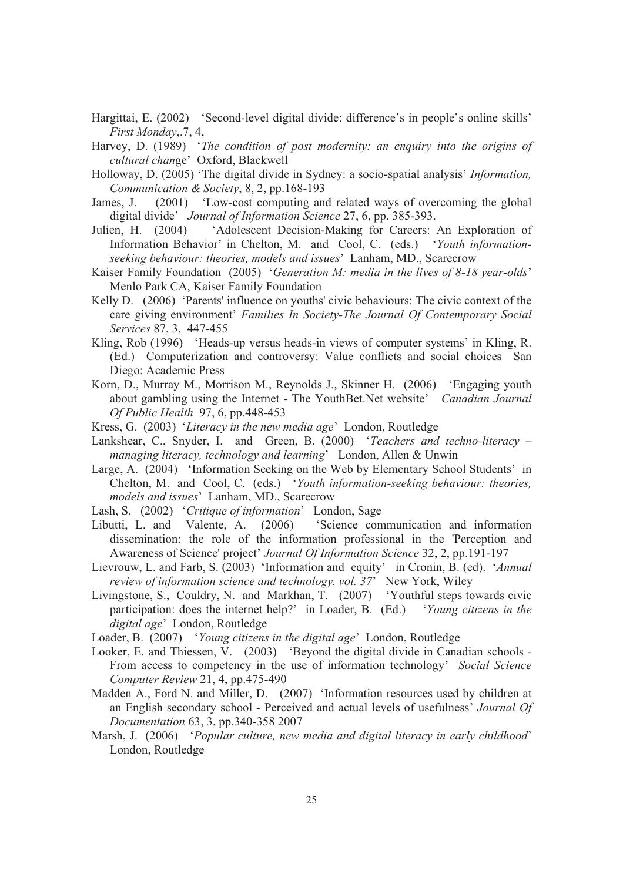- Hargittai, E. (2002) 'Second-level digital divide: difference's in people's online skills' *First Monday*,.7, 4,
- Harvey, D. (1989) '*The condition of post modernity: an enquiry into the origins of cultural chan*ge' Oxford, Blackwell
- Holloway, D. (2005) 'The digital divide in Sydney: a socio-spatial analysis' *Information, Communication & Society*, 8, 2, pp.168-193
- James, J. (2001) 'Low-cost computing and related ways of overcoming the global digital divide' *Journal of Information Science* 27, 6, pp. 385-393.
- Julien, H. (2004) 'Adolescent Decision-Making for Careers: An Exploration of Information Behavior' in Chelton, M. and Cool, C. (eds.) '*Youth information seeking behaviour: theories, models and issues*' Lanham, MD., Scarecrow
- Kaiser Family Foundation (2005) '*Generation M: media in the lives of 8-18 year-olds*' Menlo Park CA, Kaiser Family Foundation Kelly D. (2006) 'Parents' influence on youths' civic behaviours: The civic context of the
- care giving environment' *Families In Society-The Journal Of Contemporary Social Services* 87, 3, 447-455
- Kling, Rob (1996) 'Heads-up versus heads-in views of computer systems' in Kling, R. (Ed.) Computerization and controversy: Value conflicts and social choices San Diego: Academic Press
- Korn, D., Murray M., Morrison M., Reynolds J., Skinner H. (2006) 'Engaging youth about gambling using the Internet - The YouthBet.Net website' *Canadian Journal Of Public Health* 97, 6, pp.448-453
- Kress, G. (2003) '*Literacy in the new media age*' London, Routledge
- Lankshear, C., Snyder, I. and Green, B. (2000) '*Teachers and techno-literacy – managing literacy, technology and learning*' London, Allen & Unwin
- Large, A. (2004) 'Information Seeking on the Web by Elementary School Students' in Chelton, M. and Cool, C. (eds.) '*Youth information-seeking behaviour: theories, models and issues*' Lanham, MD., Scarecrow
- Lash, S. (2002) '*Critique of information*' London, Sage
- Libutti, L. and Valente, A. (2006) 'Science communication and information dissemination: the role of the information professional in the 'Perception and Awareness of Science' project' *Journal Of Information Science* 32, 2, pp.191-197
- Lievrouw, L. and Farb, S. (2003) 'Information and equity' in Cronin, B. (ed). '*Annual review of information science and technology. vol. 37*' New York, Wiley
- Livingstone, S., Couldry, N. and Markhan, T. (2007) 'Youthful steps towards civic participation: does the internet help?' in Loader, B. (Ed.) '*Young citizens in the digital age*' London, Routledge
- Loader, B. (2007) '*Young citizens in the digital age*' London, Routledge
- Looker, E. and Thiessen, V. (2003) 'Beyond the digital divide in Canadian schools From access to competency in the use of information technology' *Social Science Computer Review* 21, 4, pp.475-490
- Madden A., Ford N. and Miller, D. (2007) 'Information resources used by children at an English secondary school - Perceived and actual levels of usefulness' *Journal Of*
- *Documentation* 63, 3, pp.340-358 2007 Marsh, J. (2006) '*Popular culture, new media and digital literacy in early childhood*' London, Routledge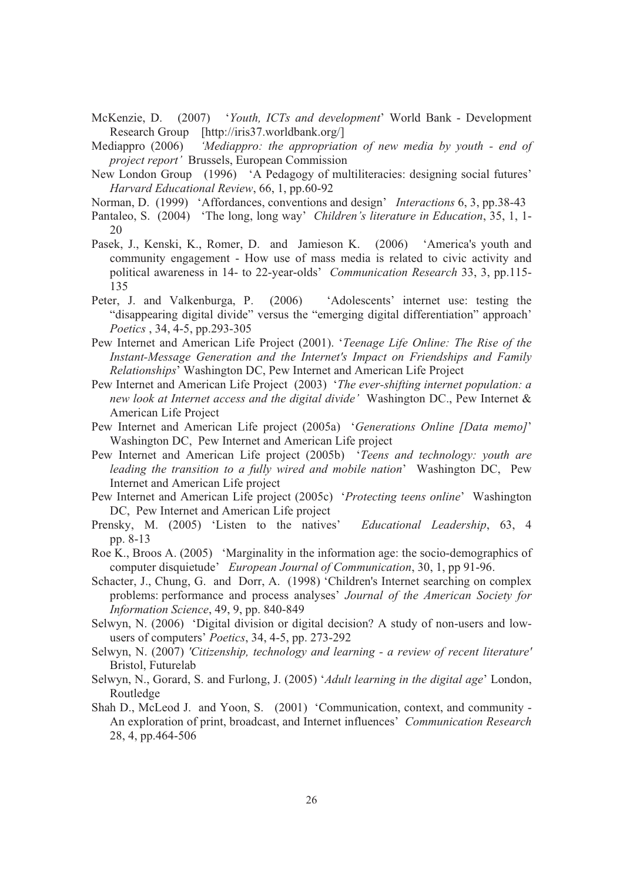- McKenzie, D. (2007) '*Youth, ICTs and development*' World Bank Development Research Group [http://iris37.worldbank.org/]
- Mediappro (2006) *'Mediappro: the appropriation of new media by youth end of project report'* Brussels, European Commission
- New London Group (1996) 'A Pedagogy of multiliteracies: designing social futures' *Harvard Educational Review*, 66, 1, pp.60-92
- Norman, D. (1999) 'Affordances, conventions and design' *Interactions* 6, 3, pp.38-43
- Pantaleo, S. (2004) 'The long, long way' *Children's literature in Education*, 35, 1, 1- 20
- Pasek, J., Kenski, K., Romer, D. and Jamieson K. (2006) 'America's youth and community engagement - How use of mass media is related to civic activity and political awareness in 14- to 22-year-olds' *Communication Research* 33, 3, pp.115- 135
- Peter, J. and Valkenburga, P. (2006) 'Adolescents' internet use: testing the "disappearing digital divide" versus the "emerging digital differentiation" approach' *Poetics* , 34, 4-5, pp.293-305
- Pew Internet and American Life Project (2001). *Poetics*, 34, 4-5, pp.293-305<br>// Internet and American Life Project (2001). '*Teenage Life Online: The Rise of the*<br>*Instant-Message Generation and the Internet's Impact on Friendships and Family Relationships*' Washington DC, Pew Internet and American Life Project
- Pew Internet and American Life Project (2003) '*The ever-shifting internet population: a* new look at Internet access and the digital divide' Washington DC., Pew Internet &<br>American Life Project<br>Pew Internet and American Life project (2005a) 'Generations Online [Data memo]'<br>Washington DC, Pew Internet and Ameri
- 
- Pew Internet and American Life project (2005b) '*Teens and technology: youth are leading the transition to a fully wired and mobile nation*' Washington DC, Pew Internet and American Life project
- Pew Internet and American Life project (2005c) '*Protecting teens online*' Washington DC, Pew Internet and American Life project
- Prensky, M. (2005) 'Listen to the natives' *Educational Leadership*, 63, 4 pp. 8-13
- Roe K., Broos A. (2005) 'Marginality in the information age: the socio-demographics of computer disquietude' *European Journal of Communication*, 30, 1, pp 91-96.<br>Schacter, J., Chung, G. and Dorr, A. (1998) 'Children's Int
- problems: performance and process analyses' *Journal of the American Society for Information Science*, 49, 9, pp. 840-849
- Selwyn, N. (2006) 'Digital division or digital decision? A study of non-users and lowusers of computers' *Poetics*, 34, 4-5, pp. 273-292
- Selwyn, N. (2007) *'Citizenship, technology and learning - a review of recent literature'* Bristol, Futurelab
- Selwyn, N., Gorard, S. and Furlong, J. (2005) '*Adult learning in the digital age*' London, Routledge Shah D., McLeod J. and Yoon, S. (2001) 'Communication, context, and community -
- An exploration of print, broadcast, and Internet influences' *Communication Research* 28, 4, pp.464-506